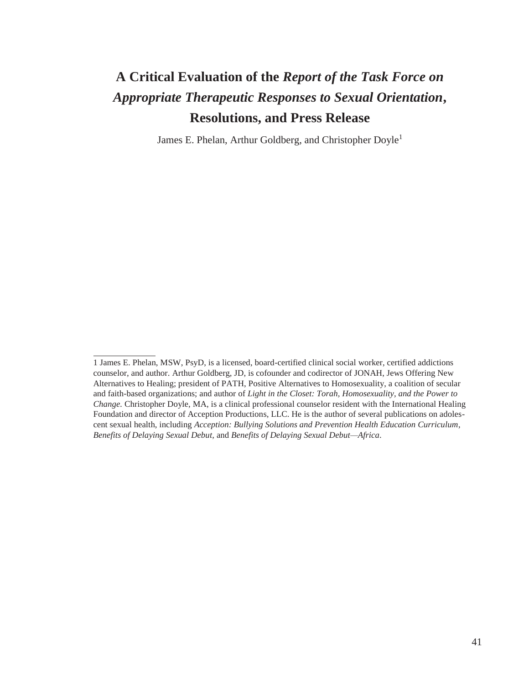# **A Critical Evaluation of the** *Report of the Task Force on Appropriate Therapeutic Responses to Sexual Orientation***, Resolutions, and Press Release**

James E. Phelan, Arthur Goldberg, and Christopher Doyle<sup>1</sup>

<sup>1</sup> James E. Phelan, MSW, PsyD, is a licensed, board-certified clinical social worker, certified addictions counselor, and author. Arthur Goldberg, JD, is cofounder and codirector of JONAH, Jews Offering New Alternatives to Healing; president of PATH, Positive Alternatives to Homosexuality, a coalition of secular and faith-based organizations; and author of *Light in the Closet: Torah, Homosexuality, and the Power to Change.* Christopher Doyle, MA, is a clinical professional counselor resident with the International Healing Foundation and director of Acception Productions, LLC. He is the author of several publications on adolescent sexual health, including *Acception: Bullying Solutions and Prevention Health Education Curriculum*, *Benefits of Delaying Sexual Debut,* and *Benefits of Delaying Sexual Debut—Africa*.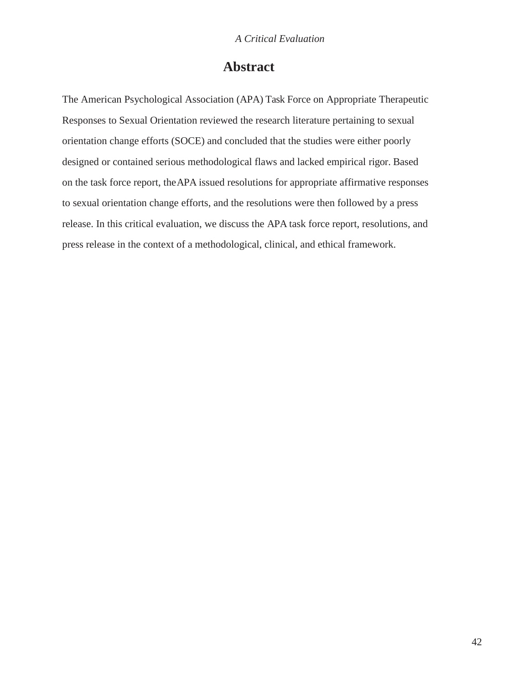# **Abstract**

The American Psychological Association (APA) Task Force on Appropriate Therapeutic Responses to Sexual Orientation reviewed the research literature pertaining to sexual orientation change efforts (SOCE) and concluded that the studies were either poorly designed or contained serious methodological flaws and lacked empirical rigor. Based on the task force report, theAPA issued resolutions for appropriate affirmative responses to sexual orientation change efforts, and the resolutions were then followed by a press release. In this critical evaluation, we discuss the APA task force report, resolutions, and press release in the context of a methodological, clinical, and ethical framework.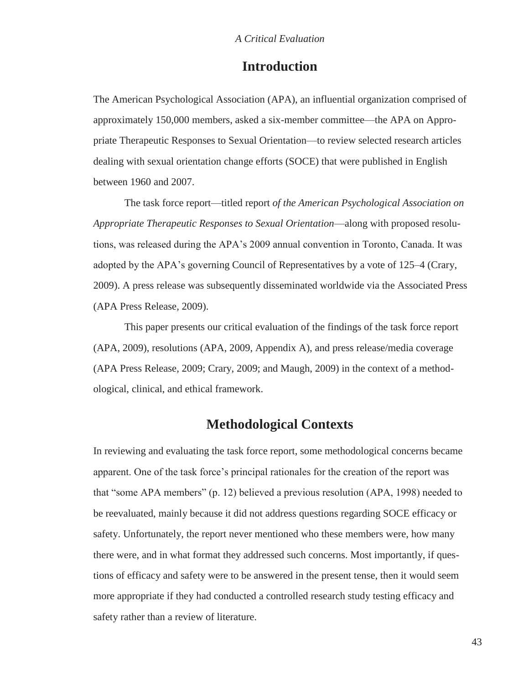# **Introduction**

The American Psychological Association (APA), an influential organization comprised of approximately 150,000 members, asked a six-member committee—the APA on Appropriate Therapeutic Responses to Sexual Orientation—to review selected research articles dealing with sexual orientation change efforts (SOCE) that were published in English between 1960 and 2007.

The task force report—titled report *of the American Psychological Association on Appropriate Therapeutic Responses to Sexual Orientation*—along with proposed resolutions, was released during the APA's 2009 annual convention in Toronto, Canada. It was adopted by the APA's governing Council of Representatives by a vote of 125–4 (Crary, 2009). A press release was subsequently disseminated worldwide via the Associated Press (APA Press Release, 2009).

This paper presents our critical evaluation of the findings of the task force report (APA, 2009), resolutions (APA, 2009, Appendix A), and press release/media coverage (APA Press Release, 2009; Crary, 2009; and Maugh, 2009) in the context of a methodological, clinical, and ethical framework.

# **Methodological Contexts**

In reviewing and evaluating the task force report, some methodological concerns became apparent. One of the task force's principal rationales for the creation of the report was that "some APA members" (p. 12) believed a previous resolution (APA, 1998) needed to be reevaluated, mainly because it did not address questions regarding SOCE efficacy or safety. Unfortunately, the report never mentioned who these members were, how many there were, and in what format they addressed such concerns. Most importantly, if questions of efficacy and safety were to be answered in the present tense, then it would seem more appropriate if they had conducted a controlled research study testing efficacy and safety rather than a review of literature.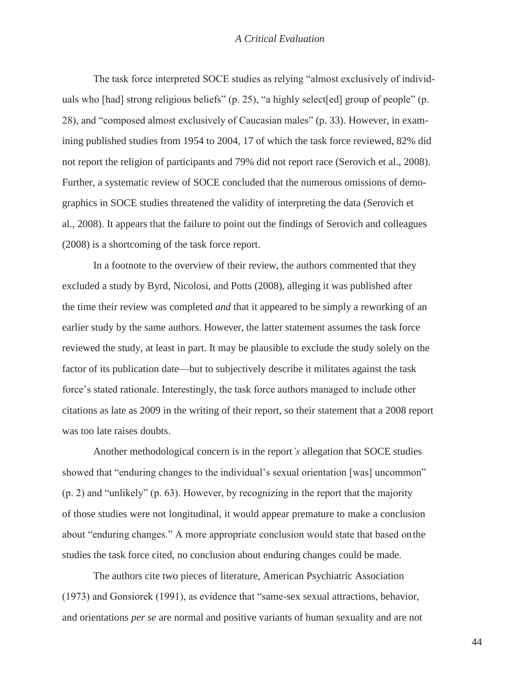The task force interpreted SOCE studies as relying "almost exclusively of individuals who [had] strong religious beliefs" (p. 25), "a highly select[ed] group of people" (p. 28), and "composed almost exclusively of Caucasian males" (p. 33). However, in examining published studies from 1954 to 2004, 17 of which the task force reviewed, 82% did not report the religion of participants and 79% did not report race (Serovich et al., 2008). Further, a systematic review of SOCE concluded that the numerous omissions of demographics in SOCE studies threatened the validity of interpreting the data (Serovich et al., 2008). It appears that the failure to point out the findings of Serovich and colleagues (2008) is a shortcoming of the task force report.

In a footnote to the overview of their review, the authors commented that they excluded a study by Byrd, Nicolosi, and Potts (2008), alleging it was published after the time their review was completed *and* that it appeared to be simply a reworking of an earlier study by the same authors. However, the latter statement assumes the task force reviewed the study, at least in part. It may be plausible to exclude the study solely on the factor of its publication date—but to subjectively describe it militates against the task force's stated rationale. Interestingly, the task force authors managed to include other citations as late as 2009 in the writing of their report, so their statement that a 2008 report was too late raises doubts.

Another methodological concern is in the report*'s* allegation that SOCE studies showed that "enduring changes to the individual's sexual orientation [was] uncommon" (p. 2) and "unlikely" (p. 63). However, by recognizing in the report that the majority of those studies were not longitudinal, it would appear premature to make a conclusion about "enduring changes." A more appropriate conclusion would state that based onthe studies the task force cited, no conclusion about enduring changes could be made.

The authors cite two pieces of literature, American Psychiatric Association (1973) and Gonsiorek (1991), as evidence that "same-sex sexual attractions, behavior, and orientations *per se* are normal and positive variants of human sexuality and are not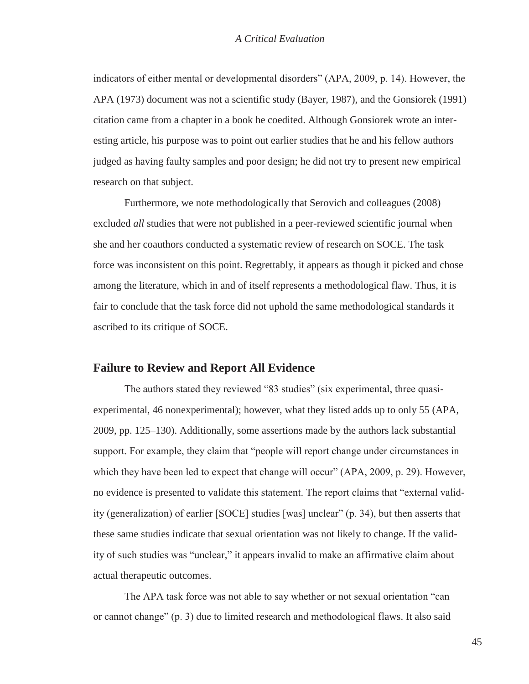indicators of either mental or developmental disorders" (APA, 2009, p. 14). However, the APA (1973) document was not a scientific study (Bayer, 1987), and the Gonsiorek (1991) citation came from a chapter in a book he coedited. Although Gonsiorek wrote an interesting article, his purpose was to point out earlier studies that he and his fellow authors judged as having faulty samples and poor design; he did not try to present new empirical research on that subject.

Furthermore, we note methodologically that Serovich and colleagues (2008) excluded *all* studies that were not published in a peer-reviewed scientific journal when she and her coauthors conducted a systematic review of research on SOCE. The task force was inconsistent on this point. Regrettably, it appears as though it picked and chose among the literature, which in and of itself represents a methodological flaw. Thus, it is fair to conclude that the task force did not uphold the same methodological standards it ascribed to its critique of SOCE.

### **Failure to Review and Report All Evidence**

The authors stated they reviewed "83 studies" (six experimental, three quasiexperimental, 46 nonexperimental); however, what they listed adds up to only 55 (APA, 2009, pp. 125–130). Additionally, some assertions made by the authors lack substantial support. For example, they claim that "people will report change under circumstances in which they have been led to expect that change will occur" (APA, 2009, p. 29). However, no evidence is presented to validate this statement. The report claims that "external validity (generalization) of earlier [SOCE] studies [was] unclear" (p. 34), but then asserts that these same studies indicate that sexual orientation was not likely to change. If the validity of such studies was "unclear," it appears invalid to make an affirmative claim about actual therapeutic outcomes.

The APA task force was not able to say whether or not sexual orientation "can or cannot change" (p. 3) due to limited research and methodological flaws. It also said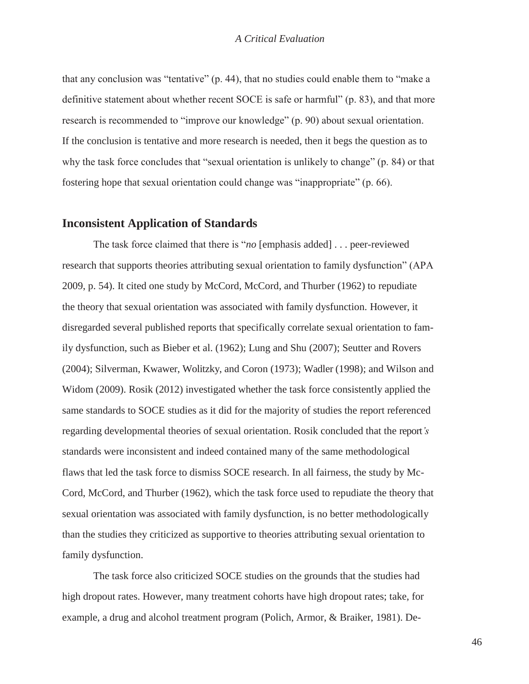that any conclusion was "tentative" (p. 44), that no studies could enable them to "make a definitive statement about whether recent SOCE is safe or harmful" (p. 83), and that more research is recommended to "improve our knowledge" (p. 90) about sexual orientation. If the conclusion is tentative and more research is needed, then it begs the question as to why the task force concludes that "sexual orientation is unlikely to change" (p. 84) or that fostering hope that sexual orientation could change was "inappropriate" (p. 66).

#### **Inconsistent Application of Standards**

The task force claimed that there is "*no* [emphasis added] . . . peer-reviewed research that supports theories attributing sexual orientation to family dysfunction" (APA 2009, p. 54). It cited one study by McCord, McCord, and Thurber (1962) to repudiate the theory that sexual orientation was associated with family dysfunction. However, it disregarded several published reports that specifically correlate sexual orientation to family dysfunction, such as Bieber et al. (1962); Lung and Shu (2007); Seutter and Rovers (2004); Silverman, Kwawer, Wolitzky, and Coron (1973); Wadler (1998); and Wilson and Widom (2009). Rosik (2012) investigated whether the task force consistently applied the same standards to SOCE studies as it did for the majority of studies the report referenced regarding developmental theories of sexual orientation. Rosik concluded that the report*'s*  standards were inconsistent and indeed contained many of the same methodological flaws that led the task force to dismiss SOCE research. In all fairness, the study by Mc-Cord, McCord, and Thurber (1962), which the task force used to repudiate the theory that sexual orientation was associated with family dysfunction, is no better methodologically than the studies they criticized as supportive to theories attributing sexual orientation to family dysfunction.

The task force also criticized SOCE studies on the grounds that the studies had high dropout rates. However, many treatment cohorts have high dropout rates; take, for example, a drug and alcohol treatment program (Polich, Armor, & Braiker, 1981). De-

46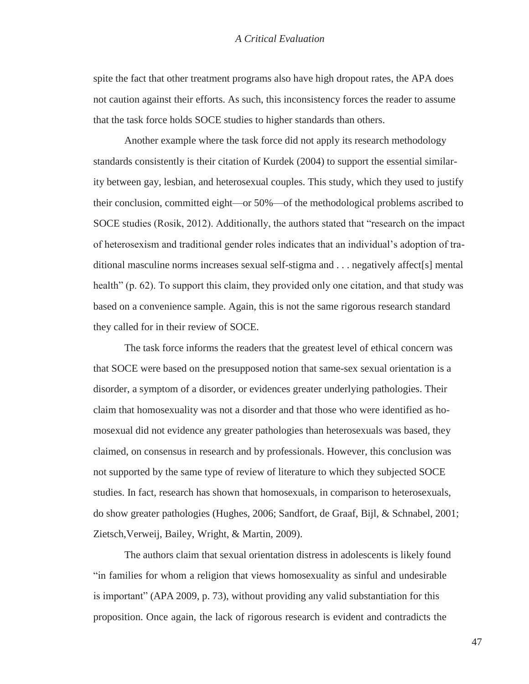spite the fact that other treatment programs also have high dropout rates, the APA does not caution against their efforts. As such, this inconsistency forces the reader to assume that the task force holds SOCE studies to higher standards than others.

Another example where the task force did not apply its research methodology standards consistently is their citation of Kurdek (2004) to support the essential similarity between gay, lesbian, and heterosexual couples. This study, which they used to justify their conclusion, committed eight—or 50%—of the methodological problems ascribed to SOCE studies (Rosik, 2012). Additionally, the authors stated that "research on the impact of heterosexism and traditional gender roles indicates that an individual's adoption of traditional masculine norms increases sexual self-stigma and . . . negatively affect[s] mental health" (p. 62). To support this claim, they provided only one citation, and that study was based on a convenience sample. Again, this is not the same rigorous research standard they called for in their review of SOCE.

The task force informs the readers that the greatest level of ethical concern was that SOCE were based on the presupposed notion that same-sex sexual orientation is a disorder, a symptom of a disorder, or evidences greater underlying pathologies. Their claim that homosexuality was not a disorder and that those who were identified as homosexual did not evidence any greater pathologies than heterosexuals was based, they claimed, on consensus in research and by professionals. However, this conclusion was not supported by the same type of review of literature to which they subjected SOCE studies. In fact, research has shown that homosexuals, in comparison to heterosexuals, do show greater pathologies (Hughes, 2006; Sandfort, de Graaf, Bijl, & Schnabel, 2001; Zietsch,Verweij, Bailey, Wright, & Martin, 2009).

The authors claim that sexual orientation distress in adolescents is likely found "in families for whom a religion that views homosexuality as sinful and undesirable is important" (APA 2009, p. 73), without providing any valid substantiation for this proposition. Once again, the lack of rigorous research is evident and contradicts the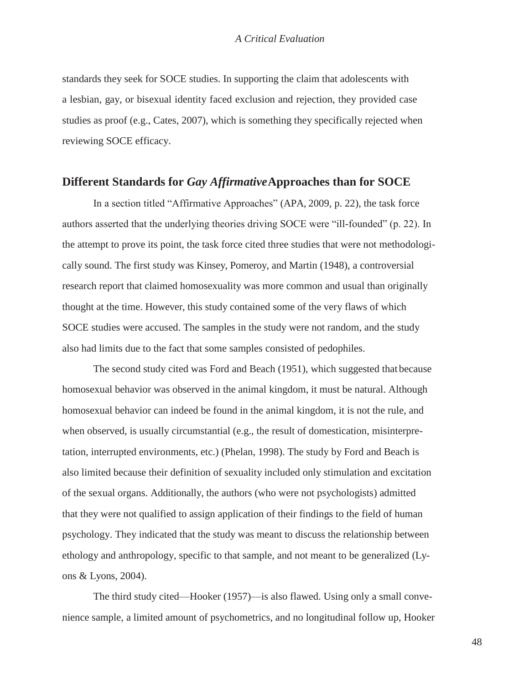standards they seek for SOCE studies. In supporting the claim that adolescents with a lesbian, gay, or bisexual identity faced exclusion and rejection, they provided case studies as proof (e.g., Cates, 2007), which is something they specifically rejected when reviewing SOCE efficacy.

### **Different Standards for** *Gay Affirmative***Approaches than for SOCE**

In a section titled "Affirmative Approaches" (APA, 2009, p. 22), the task force authors asserted that the underlying theories driving SOCE were "ill-founded" (p. 22). In the attempt to prove its point, the task force cited three studies that were not methodologically sound. The first study was Kinsey, Pomeroy, and Martin (1948), a controversial research report that claimed homosexuality was more common and usual than originally thought at the time. However, this study contained some of the very flaws of which SOCE studies were accused. The samples in the study were not random, and the study also had limits due to the fact that some samples consisted of pedophiles.

The second study cited was Ford and Beach (1951), which suggested that because homosexual behavior was observed in the animal kingdom, it must be natural. Although homosexual behavior can indeed be found in the animal kingdom, it is not the rule, and when observed, is usually circumstantial (e.g., the result of domestication, misinterpretation, interrupted environments, etc.) (Phelan, 1998). The study by Ford and Beach is also limited because their definition of sexuality included only stimulation and excitation of the sexual organs. Additionally, the authors (who were not psychologists) admitted that they were not qualified to assign application of their findings to the field of human psychology. They indicated that the study was meant to discuss the relationship between ethology and anthropology, specific to that sample, and not meant to be generalized (Lyons & Lyons, 2004).

The third study cited—Hooker (1957)—is also flawed. Using only a small convenience sample, a limited amount of psychometrics, and no longitudinal follow up, Hooker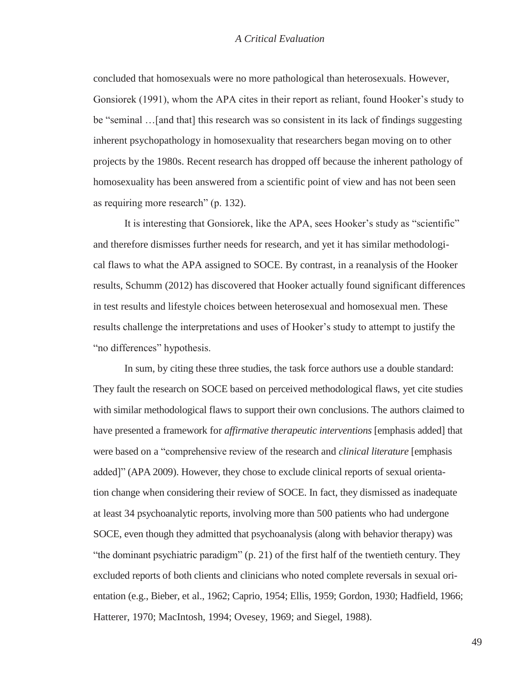concluded that homosexuals were no more pathological than heterosexuals. However, Gonsiorek (1991), whom the APA cites in their report as reliant, found Hooker's study to be "seminal …[and that] this research was so consistent in its lack of findings suggesting inherent psychopathology in homosexuality that researchers began moving on to other projects by the 1980s. Recent research has dropped off because the inherent pathology of homosexuality has been answered from a scientific point of view and has not been seen as requiring more research" (p. 132).

It is interesting that Gonsiorek, like the APA, sees Hooker's study as "scientific" and therefore dismisses further needs for research, and yet it has similar methodological flaws to what the APA assigned to SOCE. By contrast, in a reanalysis of the Hooker results, Schumm (2012) has discovered that Hooker actually found significant differences in test results and lifestyle choices between heterosexual and homosexual men. These results challenge the interpretations and uses of Hooker's study to attempt to justify the "no differences" hypothesis.

In sum, by citing these three studies, the task force authors use a double standard: They fault the research on SOCE based on perceived methodological flaws, yet cite studies with similar methodological flaws to support their own conclusions. The authors claimed to have presented a framework for *affirmative therapeutic interventions* [emphasis added] that were based on a "comprehensive review of the research and *clinical literature* [emphasis added]" (APA 2009). However, they chose to exclude clinical reports of sexual orientation change when considering their review of SOCE. In fact, they dismissed as inadequate at least 34 psychoanalytic reports, involving more than 500 patients who had undergone SOCE, even though they admitted that psychoanalysis (along with behavior therapy) was "the dominant psychiatric paradigm" (p. 21) of the first half of the twentieth century. They excluded reports of both clients and clinicians who noted complete reversals in sexual orientation (e.g., Bieber, et al., 1962; Caprio, 1954; Ellis, 1959; Gordon, 1930; Hadfield, 1966; Hatterer, 1970; MacIntosh, 1994; Ovesey, 1969; and Siegel, 1988).

49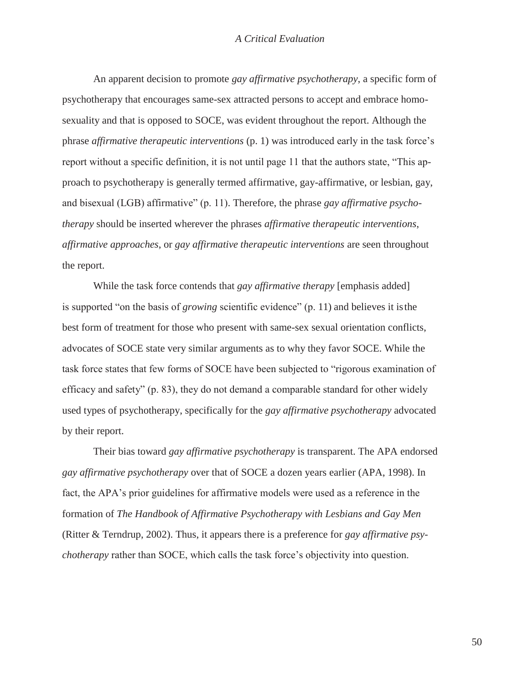An apparent decision to promote *gay affirmative psychotherapy*, a specific form of psychotherapy that encourages same-sex attracted persons to accept and embrace homosexuality and that is opposed to SOCE, was evident throughout the report. Although the phrase *affirmative therapeutic interventions* (p. 1) was introduced early in the task force's report without a specific definition, it is not until page 11 that the authors state, "This approach to psychotherapy is generally termed affirmative, gay-affirmative, or lesbian, gay, and bisexual (LGB) affirmative" (p. 11). Therefore, the phrase *gay affirmative psychotherapy* should be inserted wherever the phrases *affirmative therapeutic interventions*, *affirmative approaches*, or *gay affirmative therapeutic interventions* are seen throughout the report.

While the task force contends that *gay affirmative therapy* [emphasis added] is supported "on the basis of *growing* scientific evidence" (p. 11) and believes it isthe best form of treatment for those who present with same-sex sexual orientation conflicts, advocates of SOCE state very similar arguments as to why they favor SOCE. While the task force states that few forms of SOCE have been subjected to "rigorous examination of efficacy and safety" (p. 83), they do not demand a comparable standard for other widely used types of psychotherapy, specifically for the *gay affirmative psychotherapy* advocated by their report.

Their bias toward *gay affirmative psychotherapy* is transparent. The APA endorsed *gay affirmative psychotherapy* over that of SOCE a dozen years earlier (APA, 1998). In fact, the APA's prior guidelines for affirmative models were used as a reference in the formation of *The Handbook of Affirmative Psychotherapy with Lesbians and Gay Men*  (Ritter & Terndrup, 2002). Thus, it appears there is a preference for *gay affirmative psychotherapy* rather than SOCE, which calls the task force's objectivity into question.

50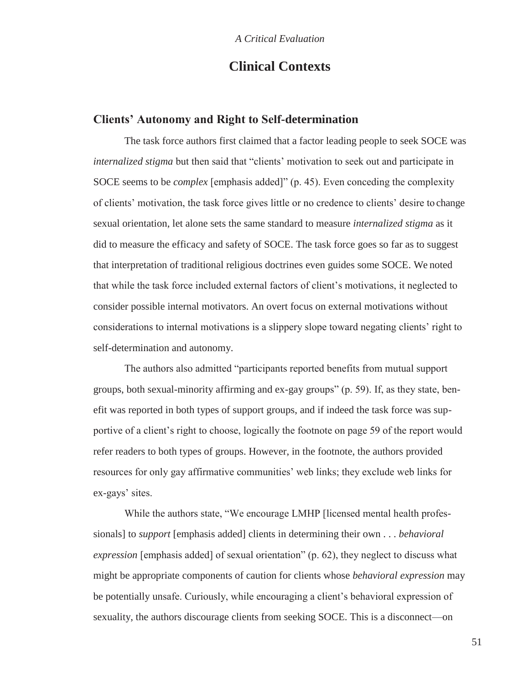# **Clinical Contexts**

### **Clients' Autonomy and Right to Self-determination**

The task force authors first claimed that a factor leading people to seek SOCE was *internalized stigma* but then said that "clients' motivation to seek out and participate in SOCE seems to be *complex* [emphasis added]" (p. 45). Even conceding the complexity of clients' motivation, the task force gives little or no credence to clients' desire to change sexual orientation, let alone sets the same standard to measure *internalized stigma* as it did to measure the efficacy and safety of SOCE. The task force goes so far as to suggest that interpretation of traditional religious doctrines even guides some SOCE. We noted that while the task force included external factors of client's motivations, it neglected to consider possible internal motivators. An overt focus on external motivations without considerations to internal motivations is a slippery slope toward negating clients' right to self-determination and autonomy.

The authors also admitted "participants reported benefits from mutual support groups, both sexual-minority affirming and ex-gay groups" (p. 59). If, as they state, benefit was reported in both types of support groups, and if indeed the task force was supportive of a client's right to choose, logically the footnote on page 59 of the report would refer readers to both types of groups. However, in the footnote, the authors provided resources for only gay affirmative communities' web links; they exclude web links for ex-gays' sites.

While the authors state, "We encourage LMHP [licensed mental health professionals] to *support* [emphasis added] clients in determining their own . . . *behavioral expression* [emphasis added] of sexual orientation" (p. 62), they neglect to discuss what might be appropriate components of caution for clients whose *behavioral expression* may be potentially unsafe. Curiously, while encouraging a client's behavioral expression of sexuality, the authors discourage clients from seeking SOCE. This is a disconnect—on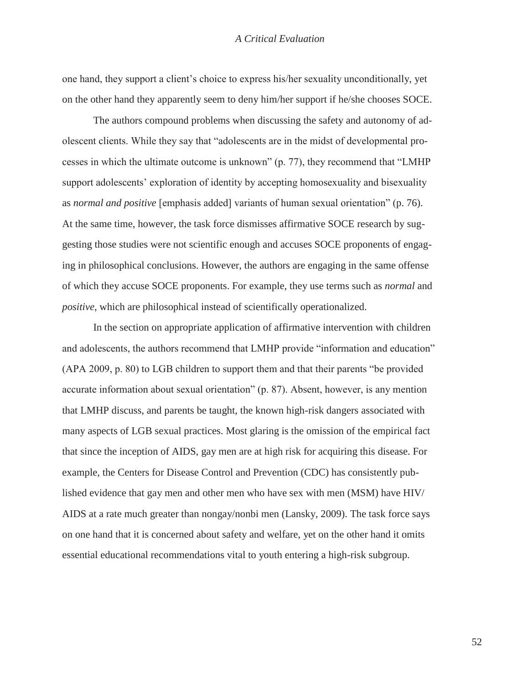one hand, they support a client's choice to express his/her sexuality unconditionally, yet on the other hand they apparently seem to deny him/her support if he/she chooses SOCE.

The authors compound problems when discussing the safety and autonomy of adolescent clients. While they say that "adolescents are in the midst of developmental processes in which the ultimate outcome is unknown" (p. 77), they recommend that "LMHP support adolescents' exploration of identity by accepting homosexuality and bisexuality as *normal and positive* [emphasis added] variants of human sexual orientation" (p. 76). At the same time, however, the task force dismisses affirmative SOCE research by suggesting those studies were not scientific enough and accuses SOCE proponents of engaging in philosophical conclusions. However, the authors are engaging in the same offense of which they accuse SOCE proponents. For example, they use terms such as *normal* and *positive*, which are philosophical instead of scientifically operationalized.

In the section on appropriate application of affirmative intervention with children and adolescents, the authors recommend that LMHP provide "information and education" (APA 2009, p. 80) to LGB children to support them and that their parents "be provided accurate information about sexual orientation" (p. 87). Absent, however, is any mention that LMHP discuss, and parents be taught, the known high-risk dangers associated with many aspects of LGB sexual practices. Most glaring is the omission of the empirical fact that since the inception of AIDS, gay men are at high risk for acquiring this disease. For example, the Centers for Disease Control and Prevention (CDC) has consistently published evidence that gay men and other men who have sex with men (MSM) have HIV/ AIDS at a rate much greater than nongay/nonbi men (Lansky, 2009). The task force says on one hand that it is concerned about safety and welfare, yet on the other hand it omits essential educational recommendations vital to youth entering a high-risk subgroup.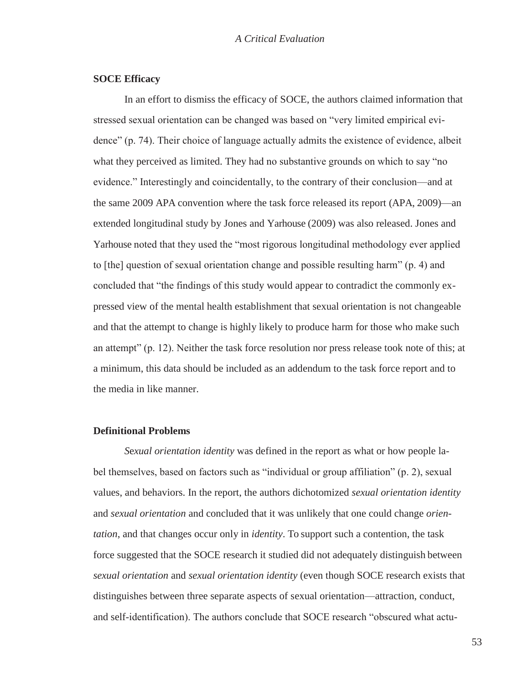#### **SOCE Efficacy**

In an effort to dismiss the efficacy of SOCE, the authors claimed information that stressed sexual orientation can be changed was based on "very limited empirical evidence" (p. 74). Their choice of language actually admits the existence of evidence, albeit what they perceived as limited. They had no substantive grounds on which to say "no evidence." Interestingly and coincidentally, to the contrary of their conclusion—and at the same 2009 APA convention where the task force released its report (APA, 2009)—an extended longitudinal study by Jones and Yarhouse (2009) was also released. Jones and Yarhouse noted that they used the "most rigorous longitudinal methodology ever applied to [the] question of sexual orientation change and possible resulting harm" (p. 4) and concluded that "the findings of this study would appear to contradict the commonly expressed view of the mental health establishment that sexual orientation is not changeable and that the attempt to change is highly likely to produce harm for those who make such an attempt" (p. 12). Neither the task force resolution nor press release took note of this; at a minimum, this data should be included as an addendum to the task force report and to the media in like manner.

#### **Definitional Problems**

*S*e*xual orientation identity* was defined in the report as what or how people label themselves, based on factors such as "individual or group affiliation" (p. 2), sexual values, and behaviors. In the report, the authors dichotomized *sexual orientation identity*  and *sexual orientation* and concluded that it was unlikely that one could change *orientation*, and that changes occur only in *identity*. To support such a contention, the task force suggested that the SOCE research it studied did not adequately distinguish between *sexual orientation* and *sexual orientation identity* (even though SOCE research exists that distinguishes between three separate aspects of sexual orientation—attraction, conduct, and self-identification). The authors conclude that SOCE research "obscured what actu-

53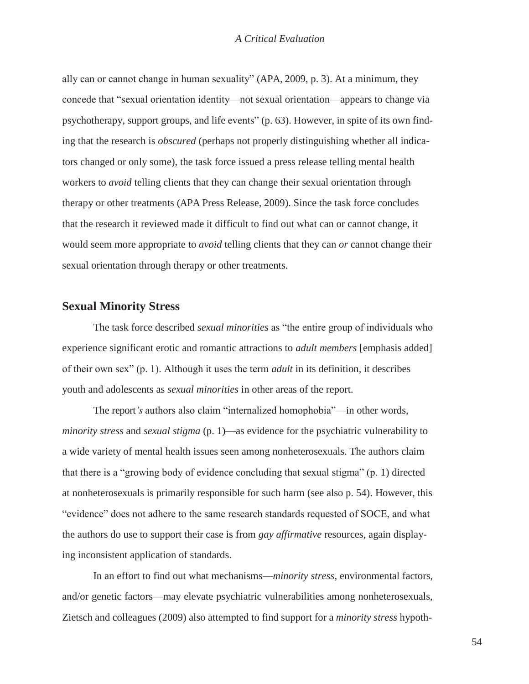ally can or cannot change in human sexuality" (APA, 2009, p. 3). At a minimum, they concede that "sexual orientation identity—not sexual orientation—appears to change via psychotherapy, support groups, and life events" (p. 63). However, in spite of its own finding that the research is *obscured* (perhaps not properly distinguishing whether all indicators changed or only some), the task force issued a press release telling mental health workers to *avoid* telling clients that they can change their sexual orientation through therapy or other treatments (APA Press Release, 2009). Since the task force concludes that the research it reviewed made it difficult to find out what can or cannot change, it would seem more appropriate to *avoid* telling clients that they can *or* cannot change their sexual orientation through therapy or other treatments.

### **Sexual Minority Stress**

The task force described *sexual minorities* as "the entire group of individuals who experience significant erotic and romantic attractions to *adult members* [emphasis added] of their own sex" (p. 1). Although it uses the term *adult* in its definition, it describes youth and adolescents as *sexual minorities* in other areas of the report.

The report*'s* authors also claim "internalized homophobia"—in other words, *minority stress* and *sexual stigma* (p. 1)—as evidence for the psychiatric vulnerability to a wide variety of mental health issues seen among nonheterosexuals. The authors claim that there is a "growing body of evidence concluding that sexual stigma" (p. 1) directed at nonheterosexuals is primarily responsible for such harm (see also p. 54). However, this "evidence" does not adhere to the same research standards requested of SOCE, and what the authors do use to support their case is from *gay affirmative* resources, again displaying inconsistent application of standards.

In an effort to find out what mechanisms—*minority stress*, environmental factors, and/or genetic factors—may elevate psychiatric vulnerabilities among nonheterosexuals, Zietsch and colleagues (2009) also attempted to find support for a *minority stress* hypoth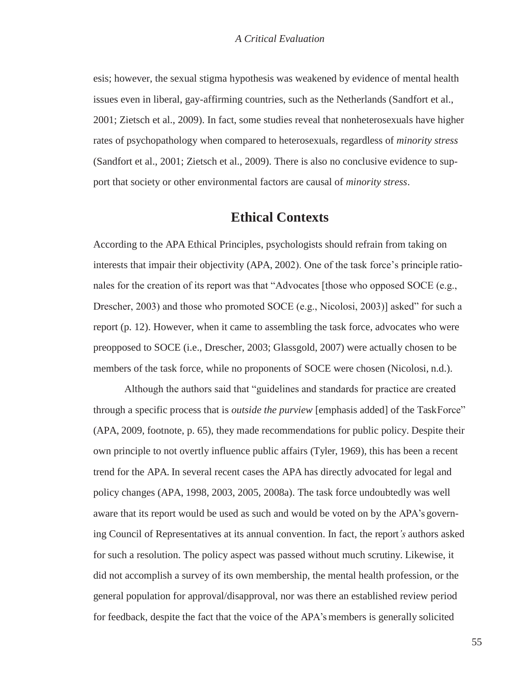esis; however, the sexual stigma hypothesis was weakened by evidence of mental health issues even in liberal, gay-affirming countries, such as the Netherlands (Sandfort et al., 2001; Zietsch et al., 2009). In fact, some studies reveal that nonheterosexuals have higher rates of psychopathology when compared to heterosexuals, regardless of *minority stress*  (Sandfort et al., 2001; Zietsch et al., 2009). There is also no conclusive evidence to support that society or other environmental factors are causal of *minority stress*.

### **Ethical Contexts**

According to the APA Ethical Principles, psychologists should refrain from taking on interests that impair their objectivity (APA, 2002). One of the task force's principle rationales for the creation of its report was that "Advocates [those who opposed SOCE (e.g., Drescher, 2003) and those who promoted SOCE (e.g., Nicolosi, 2003)] asked" for such a report (p. 12). However, when it came to assembling the task force, advocates who were preopposed to SOCE (i.e., Drescher, 2003; Glassgold, 2007) were actually chosen to be members of the task force, while no proponents of SOCE were chosen (Nicolosi, n.d.).

Although the authors said that "guidelines and standards for practice are created through a specific process that is *outside the purview* [emphasis added] of the TaskForce" (APA, 2009, footnote, p. 65), they made recommendations for public policy. Despite their own principle to not overtly influence public affairs (Tyler, 1969), this has been a recent trend for the APA. In several recent cases the APA has directly advocated for legal and policy changes (APA, 1998, 2003, 2005, 2008a). The task force undoubtedly was well aware that its report would be used as such and would be voted on by the APA's governing Council of Representatives at its annual convention. In fact, the report*'s* authors asked for such a resolution. The policy aspect was passed without much scrutiny. Likewise, it did not accomplish a survey of its own membership, the mental health profession, or the general population for approval/disapproval, nor was there an established review period for feedback, despite the fact that the voice of the APA's members is generally solicited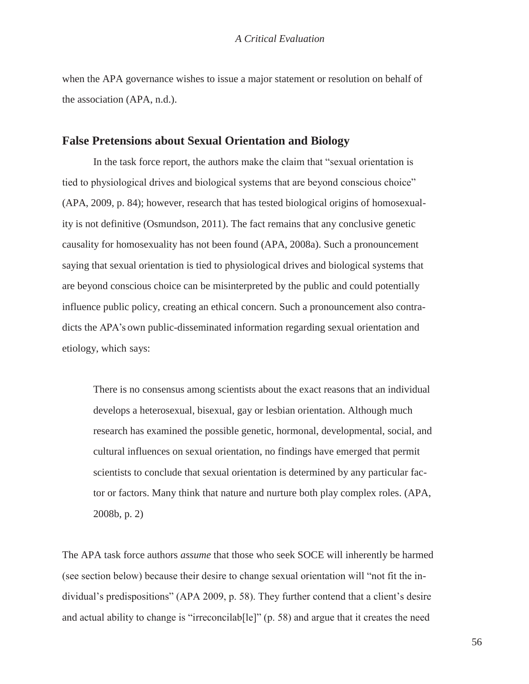when the APA governance wishes to issue a major statement or resolution on behalf of the association (APA, n.d.).

### **False Pretensions about Sexual Orientation and Biology**

In the task force report, the authors make the claim that "sexual orientation is tied to physiological drives and biological systems that are beyond conscious choice" (APA, 2009, p. 84); however, research that has tested biological origins of homosexuality is not definitive (Osmundson, 2011). The fact remains that any conclusive genetic causality for homosexuality has not been found (APA, 2008a). Such a pronouncement saying that sexual orientation is tied to physiological drives and biological systems that are beyond conscious choice can be misinterpreted by the public and could potentially influence public policy, creating an ethical concern. Such a pronouncement also contradicts the APA's own public-disseminated information regarding sexual orientation and etiology, which says:

There is no consensus among scientists about the exact reasons that an individual develops a heterosexual, bisexual, gay or lesbian orientation. Although much research has examined the possible genetic, hormonal, developmental, social, and cultural influences on sexual orientation, no findings have emerged that permit scientists to conclude that sexual orientation is determined by any particular factor or factors. Many think that nature and nurture both play complex roles. (APA, 2008b, p. 2)

The APA task force authors *assume* that those who seek SOCE will inherently be harmed (see section below) because their desire to change sexual orientation will "not fit the individual's predispositions" (APA 2009, p. 58). They further contend that a client's desire and actual ability to change is "irreconcilab[le]" (p. 58) and argue that it creates the need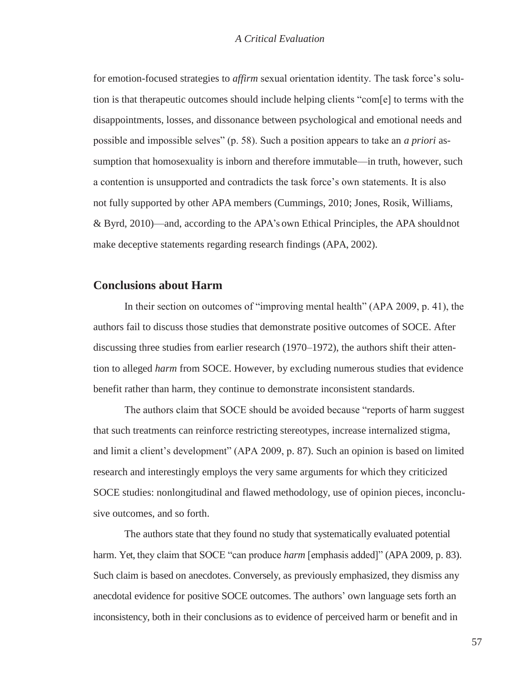for emotion-focused strategies to *affirm* sexual orientation identity. The task force's solution is that therapeutic outcomes should include helping clients "com[e] to terms with the disappointments, losses, and dissonance between psychological and emotional needs and possible and impossible selves" (p. 58). Such a position appears to take an *a priori* assumption that homosexuality is inborn and therefore immutable—in truth, however, such a contention is unsupported and contradicts the task force's own statements. It is also not fully supported by other APA members (Cummings, 2010; Jones, Rosik, Williams, & Byrd, 2010)—and, according to the APA's own Ethical Principles, the APA shouldnot make deceptive statements regarding research findings (APA, 2002).

### **Conclusions about Harm**

In their section on outcomes of "improving mental health" (APA 2009, p. 41), the authors fail to discuss those studies that demonstrate positive outcomes of SOCE. After discussing three studies from earlier research (1970–1972), the authors shift their attention to alleged *harm* from SOCE. However, by excluding numerous studies that evidence benefit rather than harm, they continue to demonstrate inconsistent standards.

The authors claim that SOCE should be avoided because "reports of harm suggest that such treatments can reinforce restricting stereotypes, increase internalized stigma, and limit a client's development" (APA 2009, p. 87). Such an opinion is based on limited research and interestingly employs the very same arguments for which they criticized SOCE studies: nonlongitudinal and flawed methodology, use of opinion pieces, inconclusive outcomes, and so forth.

The authors state that they found no study that systematically evaluated potential harm. Yet, they claim that SOCE "can produce *harm* [emphasis added]" (APA 2009, p. 83). Such claim is based on anecdotes. Conversely, as previously emphasized, they dismiss any anecdotal evidence for positive SOCE outcomes. The authors' own language sets forth an inconsistency, both in their conclusions as to evidence of perceived harm or benefit and in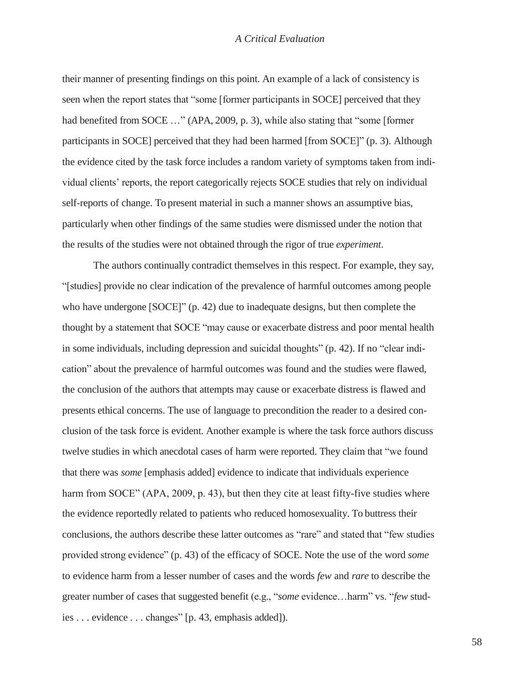their manner of presenting findings on this point. An example of a lack of consistency is seen when the report states that "some [former participants in SOCE] perceived that they had benefited from SOCE ..." (APA, 2009, p. 3), while also stating that "some [former participants in SOCE] perceived that they had been harmed [from SOCE]" (p. 3). Although the evidence cited by the task force includes a random variety of symptoms taken from individual clients' reports, the report categorically rejects SOCE studies that rely on individual self-reports of change. To present material in such a manner shows an assumptive bias, particularly when other findings of the same studies were dismissed under the notion that the results of the studies were not obtained through the rigor of true *experiment*.

The authors continually contradict themselves in this respect. For example, they say, "[studies] provide no clear indication of the prevalence of harmful outcomes among people who have undergone [SOCE]" (p. 42) due to inadequate designs, but then complete the thought by a statement that SOCE "may cause or exacerbate distress and poor mental health in some individuals, including depression and suicidal thoughts" (p. 42). If no "clear indication" about the prevalence of harmful outcomes was found and the studies were flawed, the conclusion of the authors that attempts may cause or exacerbate distress is flawed and presents ethical concerns. The use of language to precondition the reader to a desired conclusion of the task force is evident. Another example is where the task force authors discuss twelve studies in which anecdotal cases of harm were reported. They claim that "we found that there was *some* [emphasis added] evidence to indicate that individuals experience harm from SOCE" (APA, 2009, p. 43), but then they cite at least fifty-five studies where the evidence reportedly related to patients who reduced homosexuality. To buttress their conclusions, the authors describe these latter outcomes as "rare" and stated that "few studies provided strong evidence" (p. 43) of the efficacy of SOCE. Note the use of the word *some*  to evidence harm from a lesser number of cases and the words *few* and *rare* to describe the greater number of cases that suggested benefit (e.g., "*some* evidence…harm" vs. "*few* studies . . . evidence . . . changes" [p. 43, emphasis added]).

58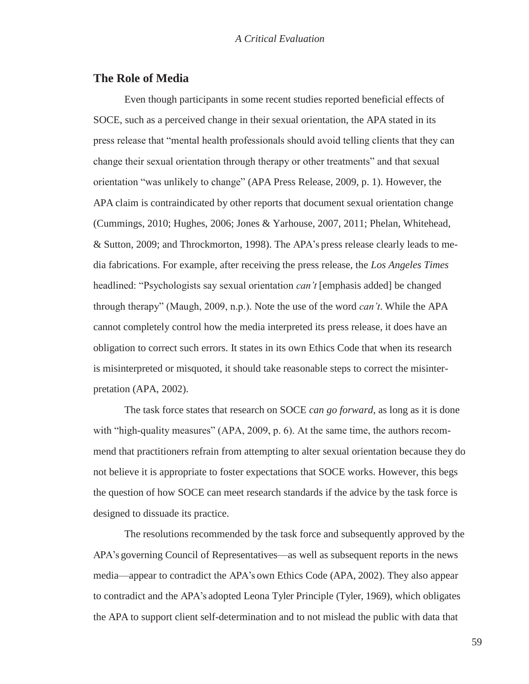### **The Role of Media**

Even though participants in some recent studies reported beneficial effects of SOCE, such as a perceived change in their sexual orientation, the APA stated in its press release that "mental health professionals should avoid telling clients that they can change their sexual orientation through therapy or other treatments" and that sexual orientation "was unlikely to change" (APA Press Release, 2009, p. 1). However, the APA claim is contraindicated by other reports that document sexual orientation change (Cummings, 2010; Hughes, 2006; Jones & Yarhouse, 2007, 2011; Phelan, Whitehead, & Sutton, 2009; and Throckmorton, 1998). The APA's press release clearly leads to media fabrications. For example, after receiving the press release, the *Los Angeles Times*  headlined: "Psychologists say sexual orientation *can't* [emphasis added] be changed through therapy" (Maugh, 2009, n.p.). Note the use of the word *can't*. While the APA cannot completely control how the media interpreted its press release, it does have an obligation to correct such errors. It states in its own Ethics Code that when its research is misinterpreted or misquoted, it should take reasonable steps to correct the misinterpretation (APA, 2002).

The task force states that research on SOCE *can go forward*, as long as it is done with "high-quality measures" (APA, 2009, p. 6). At the same time, the authors recommend that practitioners refrain from attempting to alter sexual orientation because they do not believe it is appropriate to foster expectations that SOCE works. However, this begs the question of how SOCE can meet research standards if the advice by the task force is designed to dissuade its practice.

The resolutions recommended by the task force and subsequently approved by the APA's governing Council of Representatives—as well as subsequent reports in the news media—appear to contradict the APA's own Ethics Code (APA, 2002). They also appear to contradict and the APA's adopted Leona Tyler Principle (Tyler, 1969), which obligates the APA to support client self-determination and to not mislead the public with data that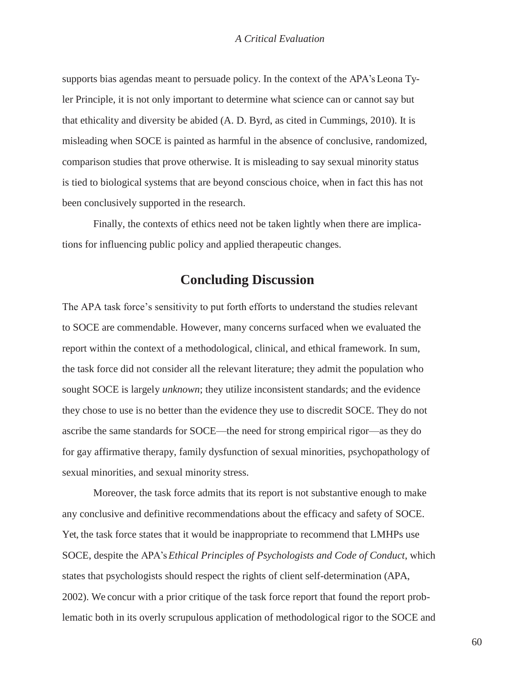supports bias agendas meant to persuade policy. In the context of the APA's Leona Tyler Principle, it is not only important to determine what science can or cannot say but that ethicality and diversity be abided (A. D. Byrd, as cited in Cummings, 2010). It is misleading when SOCE is painted as harmful in the absence of conclusive, randomized, comparison studies that prove otherwise. It is misleading to say sexual minority status is tied to biological systems that are beyond conscious choice, when in fact this has not been conclusively supported in the research.

Finally, the contexts of ethics need not be taken lightly when there are implications for influencing public policy and applied therapeutic changes.

# **Concluding Discussion**

The APA task force's sensitivity to put forth efforts to understand the studies relevant to SOCE are commendable. However, many concerns surfaced when we evaluated the report within the context of a methodological, clinical, and ethical framework. In sum, the task force did not consider all the relevant literature; they admit the population who sought SOCE is largely *unknown*; they utilize inconsistent standards; and the evidence they chose to use is no better than the evidence they use to discredit SOCE. They do not ascribe the same standards for SOCE—the need for strong empirical rigor—as they do for gay affirmative therapy, family dysfunction of sexual minorities, psychopathology of sexual minorities, and sexual minority stress.

Moreover, the task force admits that its report is not substantive enough to make any conclusive and definitive recommendations about the efficacy and safety of SOCE. Yet, the task force states that it would be inappropriate to recommend that LMHPs use SOCE, despite the APA's *Ethical Principles of Psychologists and Code of Conduct*, which states that psychologists should respect the rights of client self-determination (APA, 2002). We concur with a prior critique of the task force report that found the report problematic both in its overly scrupulous application of methodological rigor to the SOCE and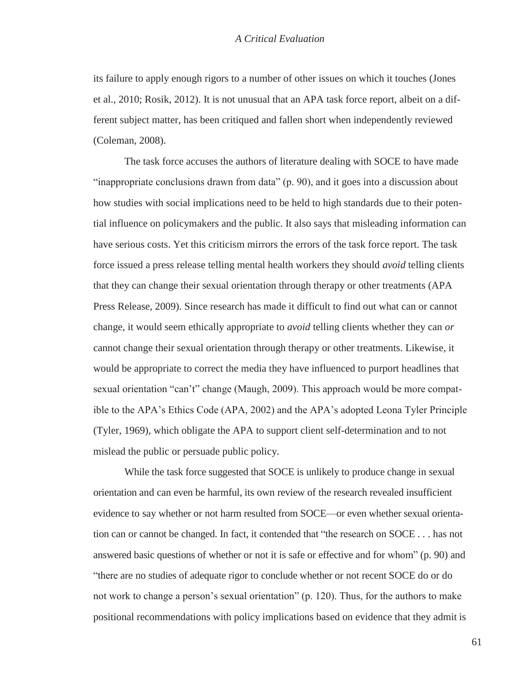its failure to apply enough rigors to a number of other issues on which it touches (Jones et al., 2010; Rosik, 2012). It is not unusual that an APA task force report, albeit on a different subject matter, has been critiqued and fallen short when independently reviewed (Coleman, 2008).

The task force accuses the authors of literature dealing with SOCE to have made "inappropriate conclusions drawn from data" (p. 90), and it goes into a discussion about how studies with social implications need to be held to high standards due to their potential influence on policymakers and the public. It also says that misleading information can have serious costs. Yet this criticism mirrors the errors of the task force report. The task force issued a press release telling mental health workers they should *avoid* telling clients that they can change their sexual orientation through therapy or other treatments (APA Press Release, 2009). Since research has made it difficult to find out what can or cannot change, it would seem ethically appropriate to *avoid* telling clients whether they can *or*  cannot change their sexual orientation through therapy or other treatments. Likewise, it would be appropriate to correct the media they have influenced to purport headlines that sexual orientation "can't" change (Maugh, 2009). This approach would be more compatible to the APA's Ethics Code (APA, 2002) and the APA's adopted Leona Tyler Principle (Tyler, 1969), which obligate the APA to support client self-determination and to not mislead the public or persuade public policy.

While the task force suggested that SOCE is unlikely to produce change in sexual orientation and can even be harmful, its own review of the research revealed insufficient evidence to say whether or not harm resulted from SOCE—or even whether sexual orientation can or cannot be changed. In fact, it contended that "the research on SOCE . . . has not answered basic questions of whether or not it is safe or effective and for whom" (p. 90) and "there are no studies of adequate rigor to conclude whether or not recent SOCE do or do not work to change a person's sexual orientation" (p. 120). Thus, for the authors to make positional recommendations with policy implications based on evidence that they admit is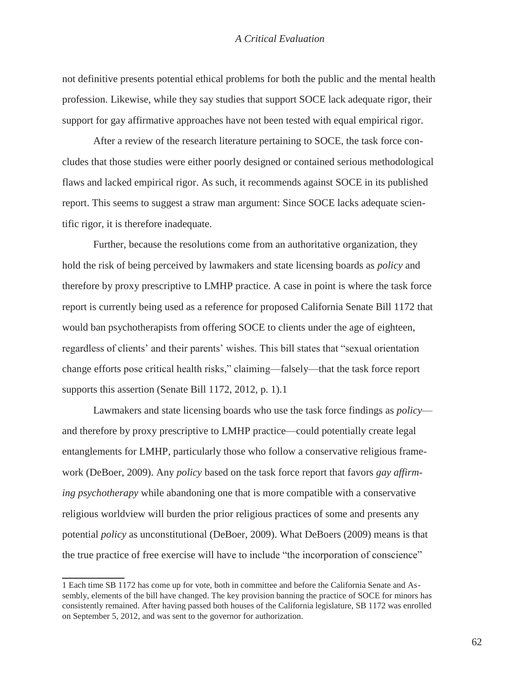not definitive presents potential ethical problems for both the public and the mental health profession. Likewise, while they say studies that support SOCE lack adequate rigor, their support for gay affirmative approaches have not been tested with equal empirical rigor.

After a review of the research literature pertaining to SOCE, the task force concludes that those studies were either poorly designed or contained serious methodological flaws and lacked empirical rigor. As such, it recommends against SOCE in its published report. This seems to suggest a straw man argument: Since SOCE lacks adequate scientific rigor, it is therefore inadequate.

Further, because the resolutions come from an authoritative organization, they hold the risk of being perceived by lawmakers and state licensing boards as *policy* and therefore by proxy prescriptive to LMHP practice. A case in point is where the task force report is currently being used as a reference for proposed California Senate Bill 1172 that would ban psychotherapists from offering SOCE to clients under the age of eighteen, regardless of clients' and their parents' wishes. This bill states that "sexual orientation change efforts pose critical health risks," claiming—falsely—that the task force report supports this assertion (Senate Bill 1172, 2012, p. 1).1

Lawmakers and state licensing boards who use the task force findings as *policy* and therefore by proxy prescriptive to LMHP practice—could potentially create legal entanglements for LMHP, particularly those who follow a conservative religious framework (DeBoer, 2009). Any *policy* based on the task force report that favors *gay affirming psychotherapy* while abandoning one that is more compatible with a conservative religious worldview will burden the prior religious practices of some and presents any potential *policy* as unconstitutional (DeBoer, 2009). What DeBoers (2009) means is that the true practice of free exercise will have to include "the incorporation of conscience"

<sup>1</sup> Each time SB 1172 has come up for vote, both in committee and before the California Senate and Assembly, elements of the bill have changed. The key provision banning the practice of SOCE for minors has consistently remained. After having passed both houses of the California legislature, SB 1172 was enrolled on September 5, 2012, and was sent to the governor for authorization.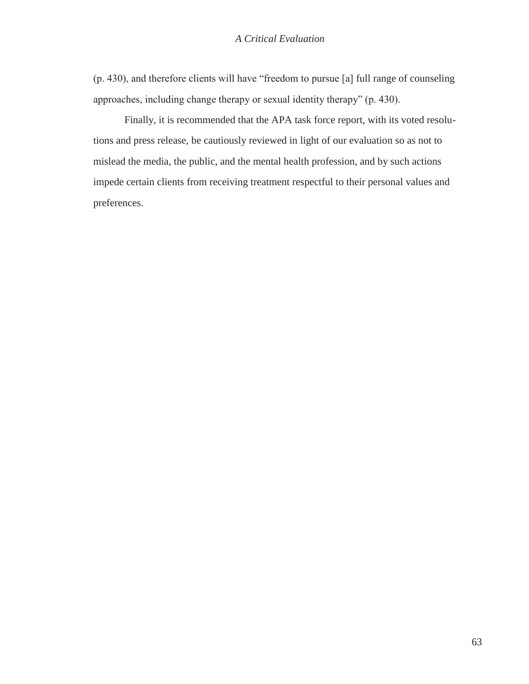(p. 430), and therefore clients will have "freedom to pursue [a] full range of counseling approaches, including change therapy or sexual identity therapy" (p. 430).

Finally, it is recommended that the APA task force report, with its voted resolutions and press release, be cautiously reviewed in light of our evaluation so as not to mislead the media, the public, and the mental health profession, and by such actions impede certain clients from receiving treatment respectful to their personal values and preferences.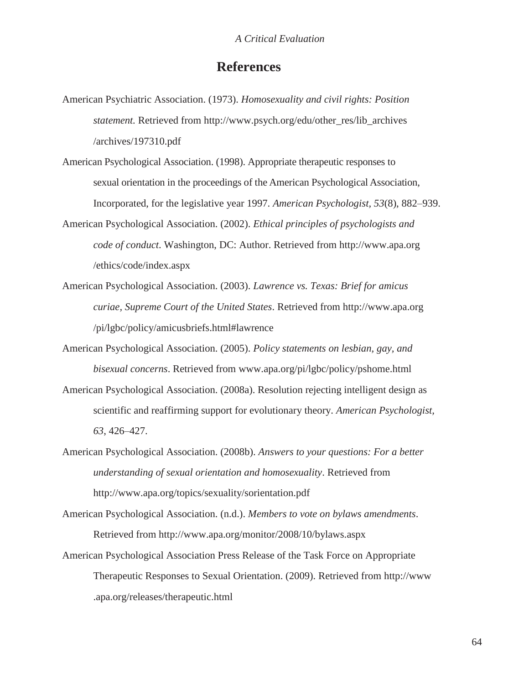# **References**

- American Psychiatric Association. (1973). *Homosexuality and civil rights: Position statement.* Retrieved from [http://www.psych.org/edu/other\\_res/lib\\_archives](http://www.psych.org/edu/other_res/lib_archives) /archives/197310.pdf
- American Psychological Association. (1998). Appropriate therapeutic responses to sexual orientation in the proceedings of the American Psychological Association, Incorporated, for the legislative year 1997. *American Psychologist, 53*(8), 882–939.
- American Psychological Association. (2002). *Ethical principles of psychologists and code of conduct*. Washington, DC: Author. Retrieved from [http://www.apa.org](http://www.apa.org/) /ethics/code/index.aspx
- American Psychological Association. (2003). *Lawrence vs. Texas: Brief for amicus curiae, Supreme Court of the United States*. Retrieved from [http://www.apa.org](http://www.apa.org/) /pi/lgbc/policy/amicusbriefs.html#lawrence
- American Psychological Association. (2005). *Policy statements on lesbian, gay, and bisexual concerns*. Retrieved from [www.apa.org/pi/lgbc/policy/pshome.html](http://www.apa.org/pi/lgbc/policy/pshome.html)
- American Psychological Association. (2008a). Resolution rejecting intelligent design as scientific and reaffirming support for evolutionary theory. *American Psychologist, 63*, 426–427.
- American Psychological Association. (2008b). *Answers to your questions: For a better understanding of sexual orientation and homosexuality*. Retrieved from <http://www.apa.org/topics/sexuality/sorientation.pdf>
- American Psychological Association. (n.d.). *Members to vote on bylaws amendments*. Retrieved from<http://www.apa.org/monitor/2008/10/bylaws.aspx>
- American Psychological Association Press Release of the Task Force on Appropriate Therapeutic Responses to Sexual Orientation. (2009). Retrieved from [http://www](http://www/) .apa.org/releases/therapeutic.html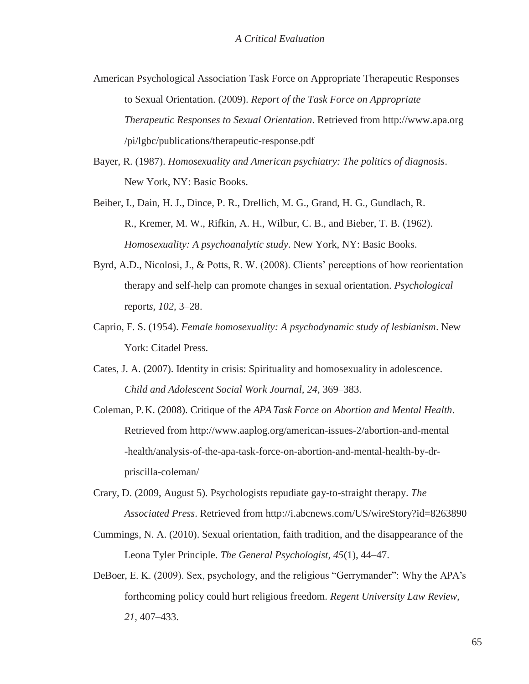- American Psychological Association Task Force on Appropriate Therapeutic Responses to Sexual Orientation. (2009). *Report of the Task Force on Appropriate Therapeutic Responses to Sexual Orientation*. Retrieved from [http://www.apa.org](http://www.apa.org/) /pi/lgbc/publications/therapeutic-response.pdf
- Bayer, R. (1987). *Homosexuality and American psychiatry: The politics of diagnosis*. New York, NY: Basic Books.
- Beiber, I., Dain, H. J., Dince, P. R., Drellich, M. G., Grand, H. G., Gundlach, R. R., Kremer, M. W., Rifkin, A. H., Wilbur, C. B., and Bieber, T. B. (1962). *Homosexuality: A psychoanalytic study*. New York, NY: Basic Books.
- Byrd, A.D., Nicolosi, J., & Potts, R. W. (2008). Clients' perceptions of how reorientation therapy and self-help can promote changes in sexual orientation. *Psychological*  report*s, 102,* 3–28.
- Caprio, F. S. (1954). *Female homosexuality: A psychodynamic study of lesbianism*. New York: Citadel Press.
- Cates, J. A. (2007). Identity in crisis: Spirituality and homosexuality in adolescence. *Child and Adolescent Social Work Journal, 24,* 369–383.
- Coleman, P. K. (2008). Critique of the *APA Task Force on Abortion and Mental Health*. Retrieved from<http://www.aaplog.org/american-issues-2/abortion-and-mental> -health/analysis-of-the-apa-task-force-on-abortion-and-mental-health-by-drpriscilla-coleman/
- Crary, D. (2009, August 5). Psychologists repudiate gay-to-straight therapy. *The Associated Press*. Retrieved from<http://i.abcnews.com/US/wireStory?id=8263890>
- Cummings, N. A. (2010). Sexual orientation, faith tradition, and the disappearance of the Leona Tyler Principle. *The General Psychologist, 45*(1), 44–47.
- DeBoer, E. K. (2009). Sex, psychology, and the religious "Gerrymander": Why the APA's forthcoming policy could hurt religious freedom. *Regent University Law Review, 21,* 407–433.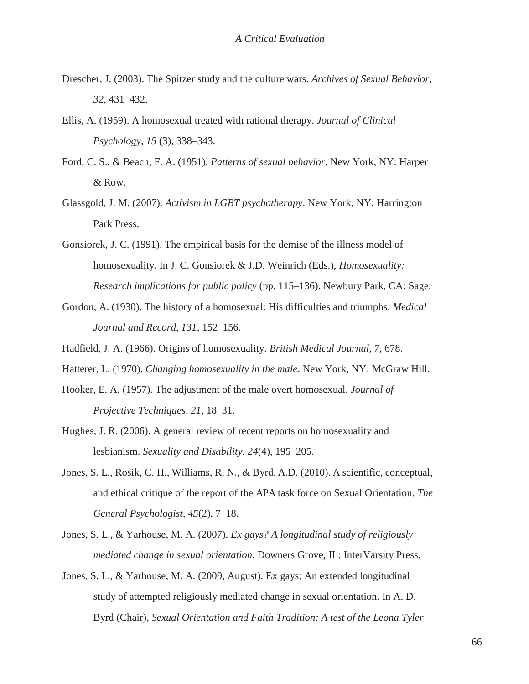- Drescher, J. (2003). The Spitzer study and the culture wars. *Archives of Sexual Behavior, 32,* 431–432.
- Ellis, A. (1959). A homosexual treated with rational therapy. *Journal of Clinical Psychology, 15* (3), 338–343.
- Ford, C. S., & Beach, F. A. (1951). *Patterns of sexual behavior*. New York, NY: Harper & Row.
- Glassgold, J. M. (2007). *Activism in LGBT psychotherapy*. New York, NY: Harrington Park Press.
- Gonsiorek, J. C. (1991). The empirical basis for the demise of the illness model of homosexuality. In J. C. Gonsiorek & J.D. Weinrich (Eds.), *Homosexuality: Research implications for public policy* (pp. 115–136). Newbury Park, CA: Sage.
- Gordon, A. (1930). The history of a homosexual: His difficulties and triumphs. *Medical Journal and Record, 131,* 152–156.
- Hadfield, J. A. (1966). Origins of homosexuality. *British Medical Journal, 7,* 678.
- Hatterer, L. (1970). *Changing homosexuality in the male*. New York, NY: McGraw Hill.
- Hooker, E. A. (1957). The adjustment of the male overt homosexual. *Journal of Projective Techniques, 21,* 18–31.
- Hughes, J. R. (2006). A general review of recent reports on homosexuality and lesbianism. *Sexuality and Disability, 24*(4), 195–205.
- Jones, S. L., Rosik, C. H., Williams, R. N., & Byrd, A.D. (2010). A scientific, conceptual, and ethical critique of the report of the APA task force on Sexual Orientation. *The General Psychologist, 45*(2), 7–18.
- Jones, S. L., & Yarhouse, M. A. (2007). *Ex gays? A longitudinal study of religiously mediated change in sexual orientation*. Downers Grove, IL: InterVarsity Press.
- Jones, S. L., & Yarhouse, M. A. (2009, August). Ex gays: An extended longitudinal study of attempted religiously mediated change in sexual orientation. In A. D. Byrd (Chair), *Sexual Orientation and Faith Tradition: A test of the Leona Tyler*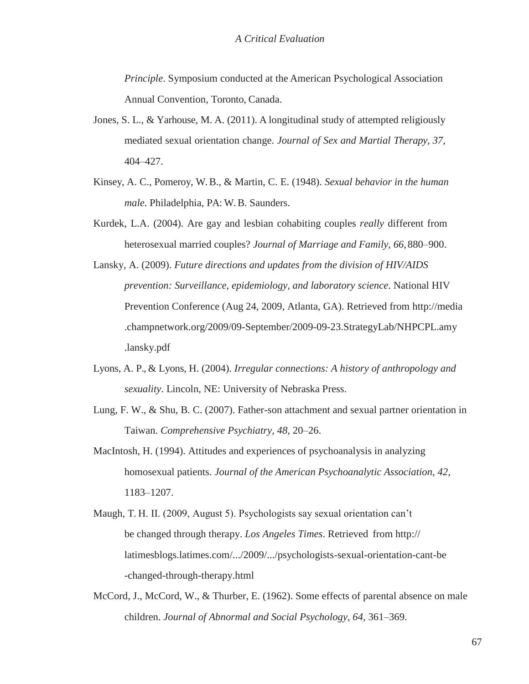*Principle*. Symposium conducted at the American Psychological Association Annual Convention, Toronto, Canada.

- Jones, S. L., & Yarhouse, M. A. (2011). A longitudinal study of attempted religiously mediated sexual orientation change. *Journal of Sex and Martial Therapy, 37,*  404–427.
- Kinsey, A. C., Pomeroy, W. B., & Martin, C. E. (1948). *Sexual behavior in the human male*. Philadelphia, PA: W. B. Saunders.
- Kurdek, L.A. (2004). Are gay and lesbian cohabiting couples *really* different from heterosexual married couples? *Journal of Marriage and Family, 66,*880–900.
- Lansky, A. (2009). *Future directions and updates from the division of HIV/AIDS prevention: Surveillance, epidemiology, and laboratory science*. National HIV Prevention Conference (Aug 24, 2009, Atlanta, GA). Retrieved from [http://media](http://media/) .champnetwork.org/2009/09-September/2009-09-23.StrategyLab/NHPCPL.amy .lansky.pdf
- Lyons, A. P., & Lyons, H. (2004). *Irregular connections: A history of anthropology and sexuality*. Lincoln, NE: University of Nebraska Press.
- Lung, F. W., & Shu, B. C. (2007). Father-son attachment and sexual partner orientation in Taiwan. *Comprehensive Psychiatry, 48,* 20–26.
- MacIntosh, H. (1994). Attitudes and experiences of psychoanalysis in analyzing homosexual patients. *Journal of the American Psychoanalytic Association, 42,*  1183–1207.
- Maugh, T. H. II. (2009, August 5). Psychologists say sexual orientation can't be changed through therapy. *Los Angeles Times*. Retrieved from http:// latimesblogs.latimes.com/.../2009/.../psychologists-sexual-orientation-cant-be -changed-through-therapy.html
- McCord, J., McCord, W., & Thurber, E. (1962). Some effects of parental absence on male children. *Journal of Abnormal and Social Psychology, 64,* 361–369.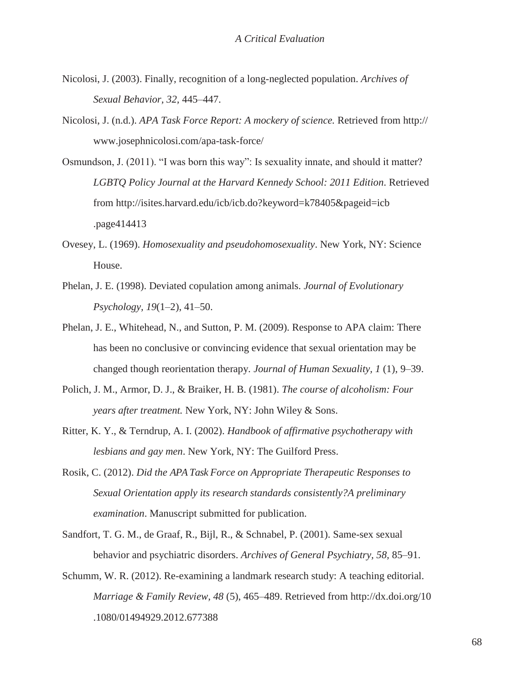- Nicolosi, J. (2003). Finally, recognition of a long-neglected population. *Archives of Sexual Behavior, 32,* 445–447.
- Nicolosi, J. (n.d.). *APA Task Force Report: A mockery of science.* Retrieved from http:// [www.josephnicolosi.com/apa-task-force/](http://www.josephnicolosi.com/apa-task-force/)
- Osmundson, J. (2011). "I was born this way": Is sexuality innate, and should it matter? *LGBTQ Policy Journal at the Harvard Kennedy School: 2011 Edition*. Retrieved from<http://isites.harvard.edu/icb/icb.do?keyword=k78405&pageid=icb> .page414413
- Ovesey, L. (1969). *Homosexuality and pseudohomosexuality*. New York, NY: Science House.
- Phelan, J. E. (1998). Deviated copulation among animals. *Journal of Evolutionary Psychology, 19*(1–2), 41–50.
- Phelan, J. E., Whitehead, N., and Sutton, P. M. (2009). Response to APA claim: There has been no conclusive or convincing evidence that sexual orientation may be changed though reorientation therapy. *Journal of Human Sexuality, 1* (1), 9–39.
- Polich, J. M., Armor, D. J., & Braiker, H. B. (1981). *The course of alcoholism: Four years after treatment.* New York, NY: John Wiley & Sons.
- Ritter, K. Y., & Terndrup, A. I. (2002). *Handbook of affirmative psychotherapy with lesbians and gay men*. New York, NY: The Guilford Press.
- Rosik, C. (2012). *Did the APA Task Force on Appropriate Therapeutic Responses to Sexual Orientation apply its research standards consistently?A preliminary examination*. Manuscript submitted for publication.
- Sandfort, T. G. M., de Graaf, R., Bijl, R., & Schnabel, P. (2001). Same-sex sexual behavior and psychiatric disorders. *Archives of General Psychiatry, 58,* 85–91.
- Schumm, W. R. (2012). Re-examining a landmark research study: A teaching editorial. *Marriage & Family Review, 48* (5), 465–489. Retrieved from<http://dx.doi.org/10> .1080/01494929.2012.677388